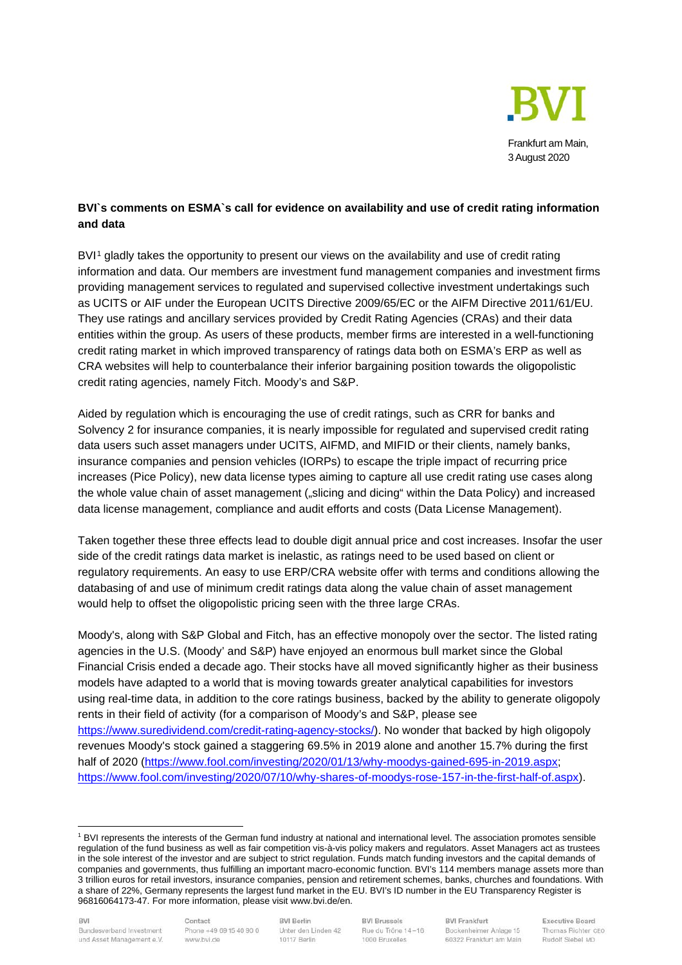

# **BVI`s comments on ESMA`s call for evidence on availability and use of credit rating information and data**

BVI<sup>[1](#page-0-0)</sup> gladly takes the opportunity to present our views on the availability and use of credit rating information and data. Our members are investment fund management companies and investment firms providing management services to regulated and supervised collective investment undertakings such as UCITS or AIF under the European UCITS Directive 2009/65/EC or the AIFM Directive 2011/61/EU. They use ratings and ancillary services provided by Credit Rating Agencies (CRAs) and their data entities within the group. As users of these products, member firms are interested in a well-functioning credit rating market in which improved transparency of ratings data both on ESMA's ERP as well as CRA websites will help to counterbalance their inferior bargaining position towards the oligopolistic credit rating agencies, namely Fitch. Moody's and S&P.

Aided by regulation which is encouraging the use of credit ratings, such as CRR for banks and Solvency 2 for insurance companies, it is nearly impossible for regulated and supervised credit rating data users such asset managers under UCITS, AIFMD, and MIFID or their clients, namely banks, insurance companies and pension vehicles (IORPs) to escape the triple impact of recurring price increases (Pice Policy), new data license types aiming to capture all use credit rating use cases along the whole value chain of asset management ("slicing and dicing" within the Data Policy) and increased data license management, compliance and audit efforts and costs (Data License Management).

Taken together these three effects lead to double digit annual price and cost increases. Insofar the user side of the credit ratings data market is inelastic, as ratings need to be used based on client or regulatory requirements. An easy to use ERP/CRA website offer with terms and conditions allowing the databasing of and use of minimum credit ratings data along the value chain of asset management would help to offset the oligopolistic pricing seen with the three large CRAs.

Moody's, along with S&P Global and Fitch, has an effective monopoly over the sector. The listed rating agencies in the U.S. (Moody' and S&P) have enjoyed an enormous bull market since the Global Financial Crisis ended a decade ago. Their stocks have all moved significantly higher as their business models have adapted to a world that is moving towards greater analytical capabilities for investors using real-time data, in addition to the core ratings business, backed by the ability to generate oligopoly rents in their field of activity (for a comparison of Moody's and S&P, please see [https://www.suredividend.com/credit-rating-agency-stocks/\)](https://www.suredividend.com/credit-rating-agency-stocks/). No wonder that backed by high oligopoly revenues Moody's stock gained a staggering 69.5% in 2019 alone and another 15.7% during the first half of 2020 [\(https://www.fool.com/investing/2020/01/13/why-moodys-gained-695-in-2019.aspx;](https://www.fool.com/investing/2020/01/13/why-moodys-gained-695-in-2019.aspx) [https://www.fool.com/investing/2020/07/10/why-shares-of-moodys-rose-157-in-the-first-half-of.aspx\)](https://www.fool.com/investing/2020/07/10/why-shares-of-moodys-rose-157-in-the-first-half-of.aspx).

<span id="page-0-0"></span><sup>1</sup> BVI represents the interests of the German fund industry at national and international level. The association promotes sensible regulation of the fund business as well as fair competition vis-à-vis policy makers and regulators. Asset Managers act as trustees in the sole interest of the investor and are subject to strict regulation. Funds match funding investors and the capital demands of companies and governments, thus fulfilling an important macro-economic function. BVI's 114 members manage assets more than 3 trillion euros for retail investors, insurance companies, pension and retirement schemes, banks, churches and foundations. With a share of 22%, Germany represents the largest fund market in the EU. BVI's ID number in the EU Transparency Register is 96816064173-47. For more information, please visit www.bvi.de/en.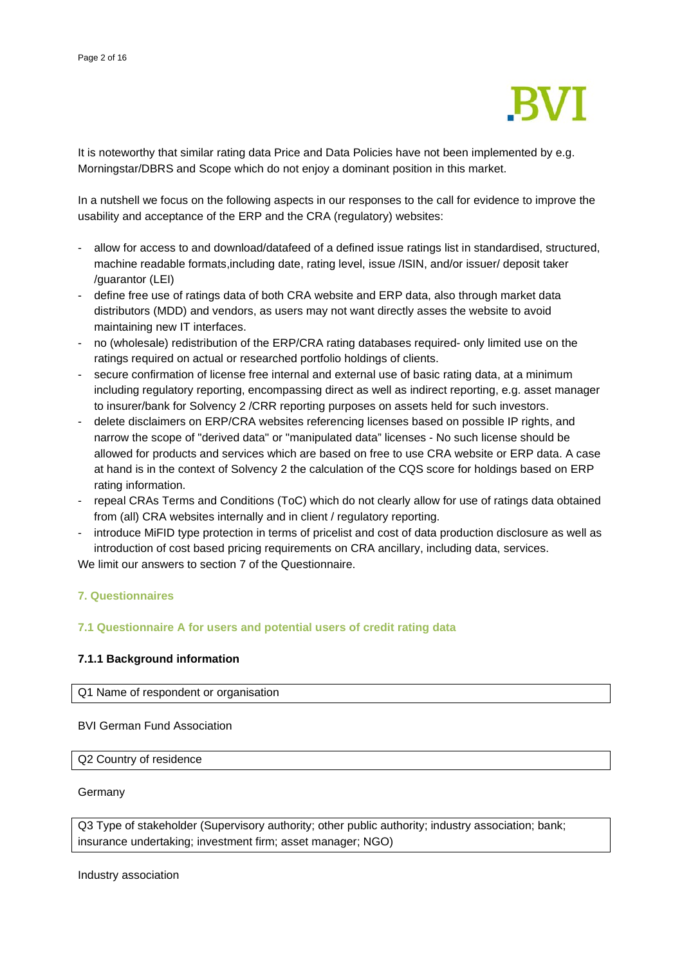

It is noteworthy that similar rating data Price and Data Policies have not been implemented by e.g. Morningstar/DBRS and Scope which do not enjoy a dominant position in this market.

In a nutshell we focus on the following aspects in our responses to the call for evidence to improve the usability and acceptance of the ERP and the CRA (regulatory) websites:

- allow for access to and download/datafeed of a defined issue ratings list in standardised, structured, machine readable formats,including date, rating level, issue /ISIN, and/or issuer/ deposit taker /guarantor (LEI)
- define free use of ratings data of both CRA website and ERP data, also through market data distributors (MDD) and vendors, as users may not want directly asses the website to avoid maintaining new IT interfaces.
- no (wholesale) redistribution of the ERP/CRA rating databases required- only limited use on the ratings required on actual or researched portfolio holdings of clients.
- secure confirmation of license free internal and external use of basic rating data, at a minimum including regulatory reporting, encompassing direct as well as indirect reporting, e.g. asset manager to insurer/bank for Solvency 2 /CRR reporting purposes on assets held for such investors.
- delete disclaimers on ERP/CRA websites referencing licenses based on possible IP rights, and narrow the scope of "derived data" or "manipulated data" licenses - No such license should be allowed for products and services which are based on free to use CRA website or ERP data. A case at hand is in the context of Solvency 2 the calculation of the CQS score for holdings based on ERP rating information.
- repeal CRAs Terms and Conditions (ToC) which do not clearly allow for use of ratings data obtained from (all) CRA websites internally and in client / regulatory reporting.
- introduce MiFID type protection in terms of pricelist and cost of data production disclosure as well as introduction of cost based pricing requirements on CRA ancillary, including data, services.

We limit our answers to section 7 of the Questionnaire.

## **7. Questionnaires**

## **7.1 Questionnaire A for users and potential users of credit rating data**

## **7.1.1 Background information**

Q1 Name of respondent or organisation

BVI German Fund Association

Q2 Country of residence

#### Germany

Q3 Type of stakeholder (Supervisory authority; other public authority; industry association; bank; insurance undertaking; investment firm; asset manager; NGO)

Industry association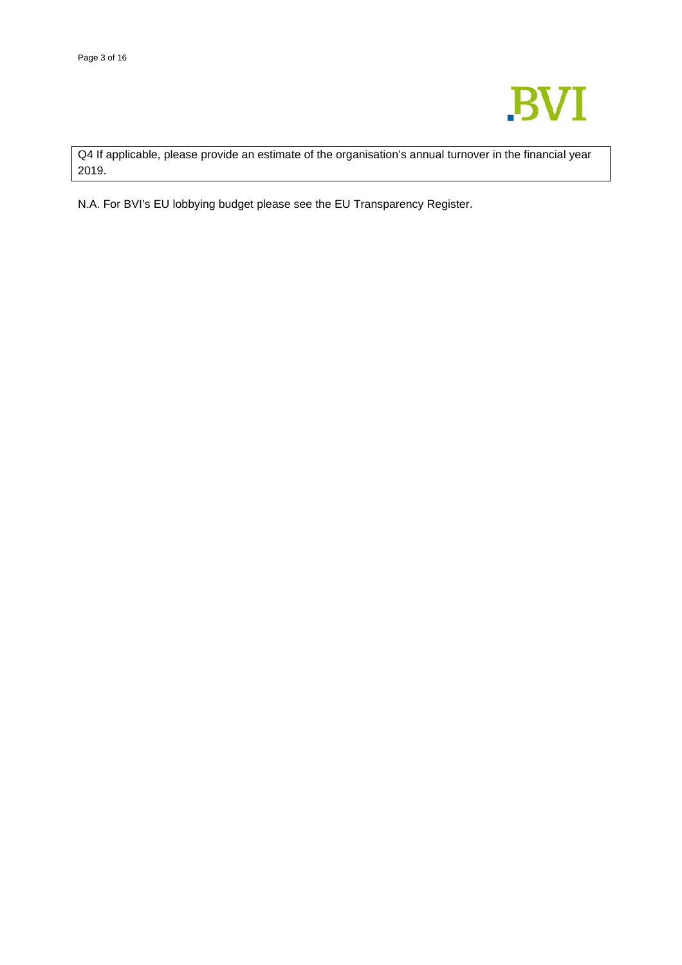

Q4 If applicable, please provide an estimate of the organisation's annual turnover in the financial year 2019.

N.A. For BVI's EU lobbying budget please see the EU Transparency Register.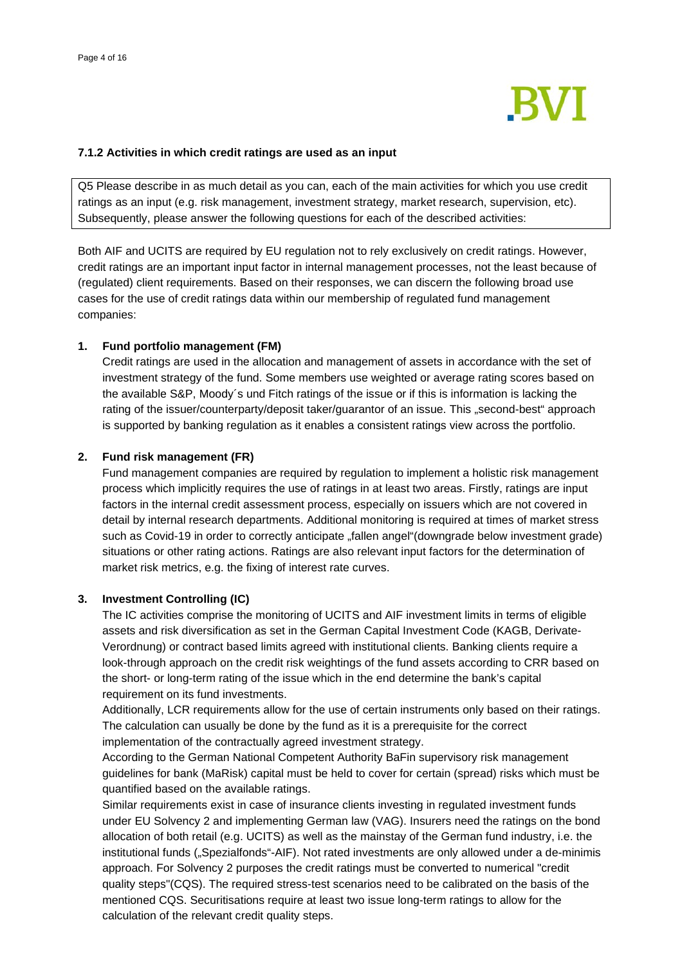

#### **7.1.2 Activities in which credit ratings are used as an input**

Q5 Please describe in as much detail as you can, each of the main activities for which you use credit ratings as an input (e.g. risk management, investment strategy, market research, supervision, etc). Subsequently, please answer the following questions for each of the described activities:

Both AIF and UCITS are required by EU regulation not to rely exclusively on credit ratings. However, credit ratings are an important input factor in internal management processes, not the least because of (regulated) client requirements. Based on their responses, we can discern the following broad use cases for the use of credit ratings data within our membership of regulated fund management companies:

### **1. Fund portfolio management (FM)**

Credit ratings are used in the allocation and management of assets in accordance with the set of investment strategy of the fund. Some members use weighted or average rating scores based on the available S&P, Moody´s und Fitch ratings of the issue or if this is information is lacking the rating of the issuer/counterparty/deposit taker/guarantor of an issue. This "second-best" approach is supported by banking regulation as it enables a consistent ratings view across the portfolio.

### **2. Fund risk management (FR)**

Fund management companies are required by regulation to implement a holistic risk management process which implicitly requires the use of ratings in at least two areas. Firstly, ratings are input factors in the internal credit assessment process, especially on issuers which are not covered in detail by internal research departments. Additional monitoring is required at times of market stress such as Covid-19 in order to correctly anticipate "fallen angel"(downgrade below investment grade) situations or other rating actions. Ratings are also relevant input factors for the determination of market risk metrics, e.g. the fixing of interest rate curves.

#### **3. Investment Controlling (IC)**

The IC activities comprise the monitoring of UCITS and AIF investment limits in terms of eligible assets and risk diversification as set in the German Capital Investment Code (KAGB, Derivate-Verordnung) or contract based limits agreed with institutional clients. Banking clients require a look-through approach on the credit risk weightings of the fund assets according to CRR based on the short- or long-term rating of the issue which in the end determine the bank's capital requirement on its fund investments.

Additionally, LCR requirements allow for the use of certain instruments only based on their ratings. The calculation can usually be done by the fund as it is a prerequisite for the correct implementation of the contractually agreed investment strategy.

According to the German National Competent Authority BaFin supervisory risk management guidelines for bank (MaRisk) capital must be held to cover for certain (spread) risks which must be quantified based on the available ratings.

Similar requirements exist in case of insurance clients investing in regulated investment funds under EU Solvency 2 and implementing German law (VAG). Insurers need the ratings on the bond allocation of both retail (e.g. UCITS) as well as the mainstay of the German fund industry, i.e. the institutional funds ("Spezialfonds"-AIF). Not rated investments are only allowed under a de-minimis approach. For Solvency 2 purposes the credit ratings must be converted to numerical "credit quality steps"(CQS). The required stress-test scenarios need to be calibrated on the basis of the mentioned CQS. Securitisations require at least two issue long-term ratings to allow for the calculation of the relevant credit quality steps.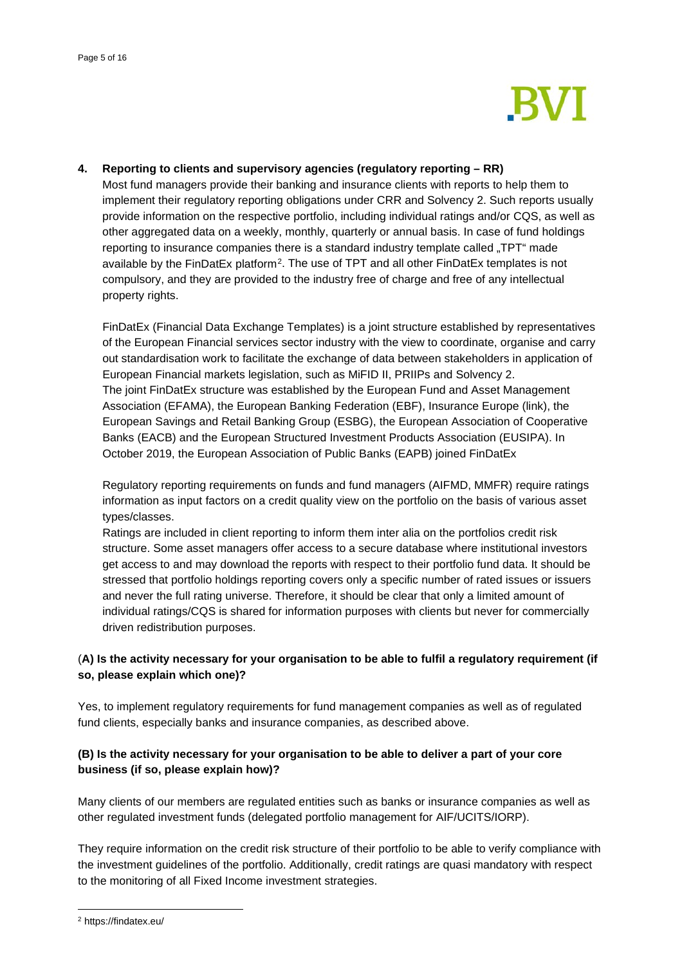

## **4. Reporting to clients and supervisory agencies (regulatory reporting – RR)**

Most fund managers provide their banking and insurance clients with reports to help them to implement their regulatory reporting obligations under CRR and Solvency 2. Such reports usually provide information on the respective portfolio, including individual ratings and/or CQS, as well as other aggregated data on a weekly, monthly, quarterly or annual basis. In case of fund holdings reporting to insurance companies there is a standard industry template called "TPT" made available by the FinDatEx platform[2.](#page-4-0) The use of TPT and all other FinDatEx templates is not compulsory, and they are provided to the industry free of charge and free of any intellectual property rights.

FinDatEx (Financial Data Exchange Templates) is a joint structure established by representatives of the European Financial services sector industry with the view to coordinate, organise and carry out standardisation work to facilitate the exchange of data between stakeholders in application of European Financial markets legislation, such as MiFID II, PRIIPs and Solvency 2. The joint FinDatEx structure was established by the European Fund and Asset Management Association (EFAMA), the European Banking Federation (EBF), Insurance Europe (link), the European Savings and Retail Banking Group (ESBG), the European Association of Cooperative Banks (EACB) and the European Structured Investment Products Association (EUSIPA). In October 2019, the European Association of Public Banks (EAPB) joined FinDatEx

Regulatory reporting requirements on funds and fund managers (AIFMD, MMFR) require ratings information as input factors on a credit quality view on the portfolio on the basis of various asset types/classes.

Ratings are included in client reporting to inform them inter alia on the portfolios credit risk structure. Some asset managers offer access to a secure database where institutional investors get access to and may download the reports with respect to their portfolio fund data. It should be stressed that portfolio holdings reporting covers only a specific number of rated issues or issuers and never the full rating universe. Therefore, it should be clear that only a limited amount of individual ratings/CQS is shared for information purposes with clients but never for commercially driven redistribution purposes.

# (**A) Is the activity necessary for your organisation to be able to fulfil a regulatory requirement (if so, please explain which one)?**

Yes, to implement regulatory requirements for fund management companies as well as of regulated fund clients, especially banks and insurance companies, as described above.

# **(B) Is the activity necessary for your organisation to be able to deliver a part of your core business (if so, please explain how)?**

Many clients of our members are regulated entities such as banks or insurance companies as well as other regulated investment funds (delegated portfolio management for AIF/UCITS/IORP).

They require information on the credit risk structure of their portfolio to be able to verify compliance with the investment guidelines of the portfolio. Additionally, credit ratings are quasi mandatory with respect to the monitoring of all Fixed Income investment strategies.

<span id="page-4-0"></span><sup>2</sup> https://findatex.eu/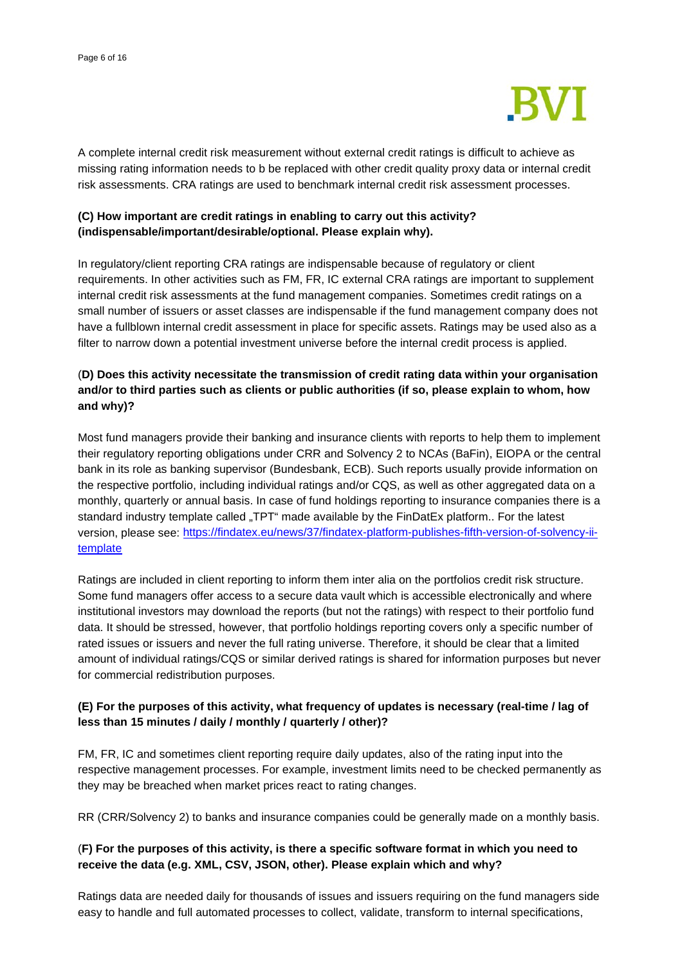

A complete internal credit risk measurement without external credit ratings is difficult to achieve as missing rating information needs to b be replaced with other credit quality proxy data or internal credit risk assessments. CRA ratings are used to benchmark internal credit risk assessment processes.

# **(C) How important are credit ratings in enabling to carry out this activity? (indispensable/important/desirable/optional. Please explain why).**

In regulatory/client reporting CRA ratings are indispensable because of regulatory or client requirements. In other activities such as FM, FR, IC external CRA ratings are important to supplement internal credit risk assessments at the fund management companies. Sometimes credit ratings on a small number of issuers or asset classes are indispensable if the fund management company does not have a fullblown internal credit assessment in place for specific assets. Ratings may be used also as a filter to narrow down a potential investment universe before the internal credit process is applied.

# (**D) Does this activity necessitate the transmission of credit rating data within your organisation and/or to third parties such as clients or public authorities (if so, please explain to whom, how and why)?**

Most fund managers provide their banking and insurance clients with reports to help them to implement their regulatory reporting obligations under CRR and Solvency 2 to NCAs (BaFin), EIOPA or the central bank in its role as banking supervisor (Bundesbank, ECB). Such reports usually provide information on the respective portfolio, including individual ratings and/or CQS, as well as other aggregated data on a monthly, quarterly or annual basis. In case of fund holdings reporting to insurance companies there is a standard industry template called "TPT" made available by the FinDatEx platform.. For the latest version, please see: [https://findatex.eu/news/37/findatex-platform-publishes-fifth-version-of-solvency-ii](https://findatex.eu/news/37/findatex-platform-publishes-fifth-version-of-solvency-ii-template)[template](https://findatex.eu/news/37/findatex-platform-publishes-fifth-version-of-solvency-ii-template)

Ratings are included in client reporting to inform them inter alia on the portfolios credit risk structure. Some fund managers offer access to a secure data vault which is accessible electronically and where institutional investors may download the reports (but not the ratings) with respect to their portfolio fund data. It should be stressed, however, that portfolio holdings reporting covers only a specific number of rated issues or issuers and never the full rating universe. Therefore, it should be clear that a limited amount of individual ratings/CQS or similar derived ratings is shared for information purposes but never for commercial redistribution purposes.

# **(E) For the purposes of this activity, what frequency of updates is necessary (real-time / lag of less than 15 minutes / daily / monthly / quarterly / other)?**

FM, FR, IC and sometimes client reporting require daily updates, also of the rating input into the respective management processes. For example, investment limits need to be checked permanently as they may be breached when market prices react to rating changes.

RR (CRR/Solvency 2) to banks and insurance companies could be generally made on a monthly basis.

# (**F) For the purposes of this activity, is there a specific software format in which you need to receive the data (e.g. XML, CSV, JSON, other). Please explain which and why?**

Ratings data are needed daily for thousands of issues and issuers requiring on the fund managers side easy to handle and full automated processes to collect, validate, transform to internal specifications,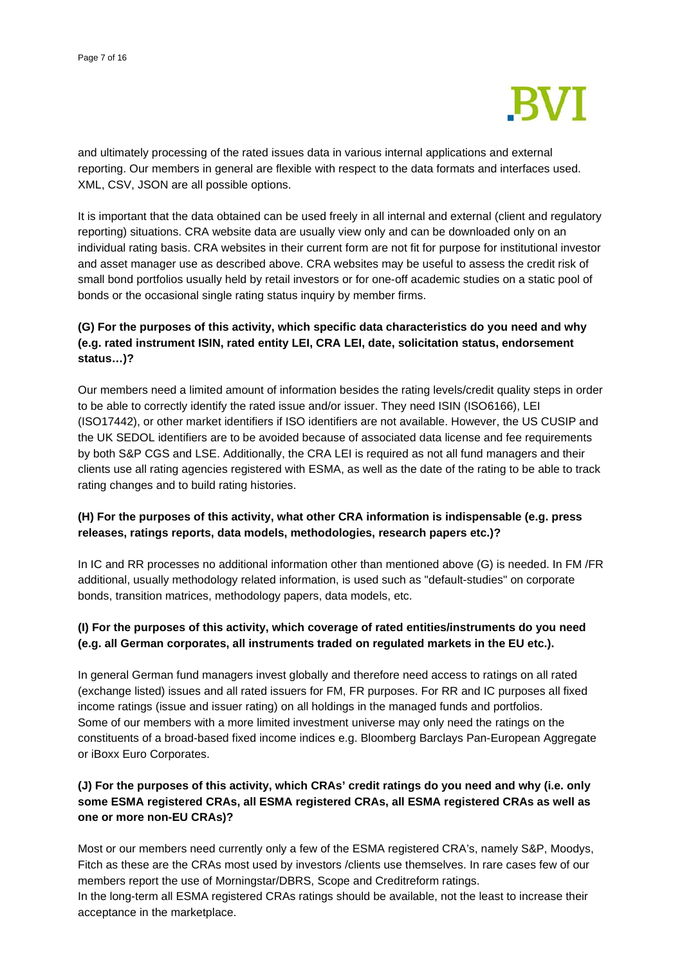

and ultimately processing of the rated issues data in various internal applications and external reporting. Our members in general are flexible with respect to the data formats and interfaces used. XML, CSV, JSON are all possible options.

It is important that the data obtained can be used freely in all internal and external (client and regulatory reporting) situations. CRA website data are usually view only and can be downloaded only on an individual rating basis. CRA websites in their current form are not fit for purpose for institutional investor and asset manager use as described above. CRA websites may be useful to assess the credit risk of small bond portfolios usually held by retail investors or for one-off academic studies on a static pool of bonds or the occasional single rating status inquiry by member firms.

# **(G) For the purposes of this activity, which specific data characteristics do you need and why (e.g. rated instrument ISIN, rated entity LEI, CRA LEI, date, solicitation status, endorsement status…)?**

Our members need a limited amount of information besides the rating levels/credit quality steps in order to be able to correctly identify the rated issue and/or issuer. They need ISIN (ISO6166), LEI (ISO17442), or other market identifiers if ISO identifiers are not available. However, the US CUSIP and the UK SEDOL identifiers are to be avoided because of associated data license and fee requirements by both S&P CGS and LSE. Additionally, the CRA LEI is required as not all fund managers and their clients use all rating agencies registered with ESMA, as well as the date of the rating to be able to track rating changes and to build rating histories.

## **(H) For the purposes of this activity, what other CRA information is indispensable (e.g. press releases, ratings reports, data models, methodologies, research papers etc.)?**

In IC and RR processes no additional information other than mentioned above (G) is needed. In FM /FR additional, usually methodology related information, is used such as "default-studies" on corporate bonds, transition matrices, methodology papers, data models, etc.

# **(I) For the purposes of this activity, which coverage of rated entities/instruments do you need (e.g. all German corporates, all instruments traded on regulated markets in the EU etc.).**

In general German fund managers invest globally and therefore need access to ratings on all rated (exchange listed) issues and all rated issuers for FM, FR purposes. For RR and IC purposes all fixed income ratings (issue and issuer rating) on all holdings in the managed funds and portfolios. Some of our members with a more limited investment universe may only need the ratings on the constituents of a broad-based fixed income indices e.g. Bloomberg Barclays Pan-European Aggregate or iBoxx Euro Corporates.

# **(J) For the purposes of this activity, which CRAs' credit ratings do you need and why (i.e. only some ESMA registered CRAs, all ESMA registered CRAs, all ESMA registered CRAs as well as one or more non-EU CRAs)?**

Most or our members need currently only a few of the ESMA registered CRA's, namely S&P, Moodys, Fitch as these are the CRAs most used by investors /clients use themselves. In rare cases few of our members report the use of Morningstar/DBRS, Scope and Creditreform ratings.

In the long-term all ESMA registered CRAs ratings should be available, not the least to increase their acceptance in the marketplace.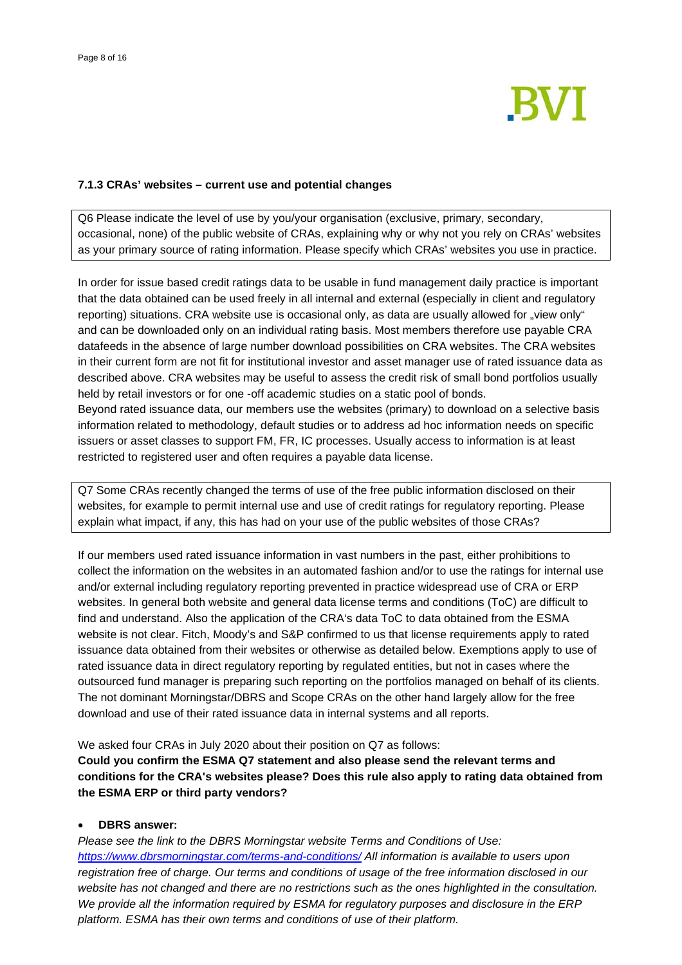

### **7.1.3 CRAs' websites – current use and potential changes**

Q6 Please indicate the level of use by you/your organisation (exclusive, primary, secondary, occasional, none) of the public website of CRAs, explaining why or why not you rely on CRAs' websites as your primary source of rating information. Please specify which CRAs' websites you use in practice.

In order for issue based credit ratings data to be usable in fund management daily practice is important that the data obtained can be used freely in all internal and external (especially in client and regulatory reporting) situations. CRA website use is occasional only, as data are usually allowed for "view only" and can be downloaded only on an individual rating basis. Most members therefore use payable CRA datafeeds in the absence of large number download possibilities on CRA websites. The CRA websites in their current form are not fit for institutional investor and asset manager use of rated issuance data as described above. CRA websites may be useful to assess the credit risk of small bond portfolios usually held by retail investors or for one -off academic studies on a static pool of bonds. Beyond rated issuance data, our members use the websites (primary) to download on a selective basis

information related to methodology, default studies or to address ad hoc information needs on specific issuers or asset classes to support FM, FR, IC processes. Usually access to information is at least restricted to registered user and often requires a payable data license.

Q7 Some CRAs recently changed the terms of use of the free public information disclosed on their websites, for example to permit internal use and use of credit ratings for regulatory reporting. Please explain what impact, if any, this has had on your use of the public websites of those CRAs?

If our members used rated issuance information in vast numbers in the past, either prohibitions to collect the information on the websites in an automated fashion and/or to use the ratings for internal use and/or external including regulatory reporting prevented in practice widespread use of CRA or ERP websites. In general both website and general data license terms and conditions (ToC) are difficult to find and understand. Also the application of the CRA's data ToC to data obtained from the ESMA website is not clear. Fitch, Moody's and S&P confirmed to us that license requirements apply to rated issuance data obtained from their websites or otherwise as detailed below. Exemptions apply to use of rated issuance data in direct regulatory reporting by regulated entities, but not in cases where the outsourced fund manager is preparing such reporting on the portfolios managed on behalf of its clients. The not dominant Morningstar/DBRS and Scope CRAs on the other hand largely allow for the free download and use of their rated issuance data in internal systems and all reports.

We asked four CRAs in July 2020 about their position on Q7 as follows:

**Could you confirm the ESMA Q7 statement and also please send the relevant terms and conditions for the CRA's websites please? Does this rule also apply to rating data obtained from the ESMA ERP or third party vendors?**

### • **DBRS answer:**

*Please see the link to the DBRS Morningstar website Terms and Conditions of Use: <https://www.dbrsmorningstar.com/terms-and-conditions/> All information is available to users upon registration free of charge. Our terms and conditions of usage of the free information disclosed in our website has not changed and there are no restrictions such as the ones highlighted in the consultation. We provide all the information required by ESMA for regulatory purposes and disclosure in the ERP platform. ESMA has their own terms and conditions of use of their platform.*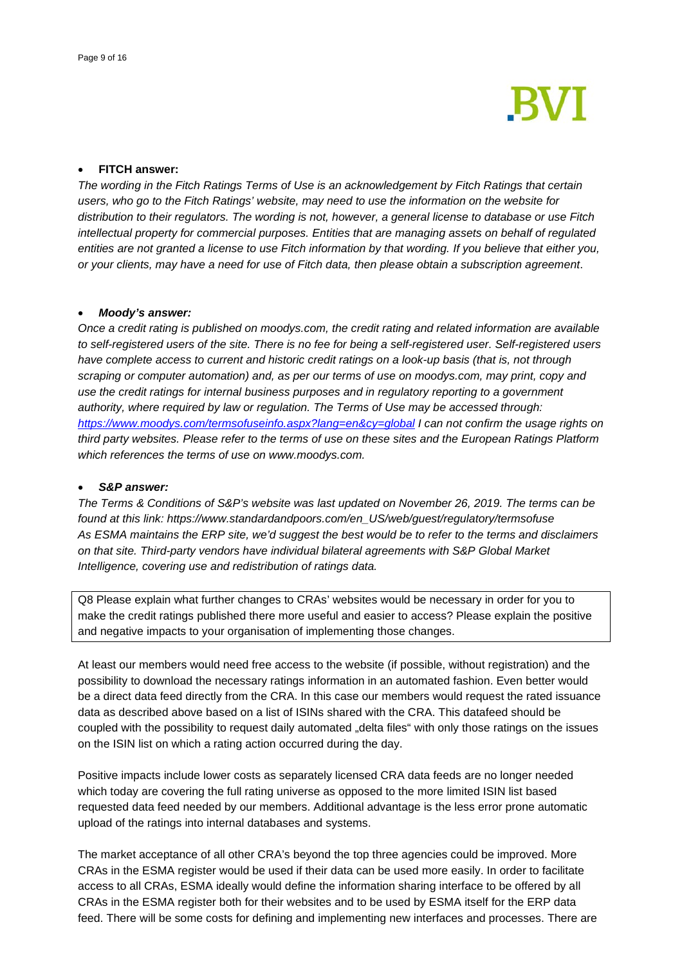

# • **FITCH answer:**

*The wording in the Fitch Ratings Terms of Use is an acknowledgement by Fitch Ratings that certain users, who go to the Fitch Ratings' website, may need to use the information on the website for distribution to their regulators. The wording is not, however, a general license to database or use Fitch intellectual property for commercial purposes. Entities that are managing assets on behalf of regulated entities are not granted a license to use Fitch information by that wording. If you believe that either you, or your clients, may have a need for use of Fitch data, then please obtain a subscription agreement*.

#### • *Moody's answer:*

*Once a credit rating is published on moodys.com, the credit rating and related information are available to self-registered users of the site. There is no fee for being a self-registered user. Self-registered users have complete access to current and historic credit ratings on a look-up basis (that is, not through scraping or computer automation) and, as per our terms of use on moodys.com, may print, copy and use the credit ratings for internal business purposes and in regulatory reporting to a government authority, where required by law or regulation. The Terms of Use may be accessed through: <https://www.moodys.com/termsofuseinfo.aspx?lang=en&cy=global> I can not confirm the usage rights on third party websites. Please refer to the terms of use on these sites and the European Ratings Platform which references the terms of use on www.moodys.com.*

#### • *S&P answer:*

*The Terms & Conditions of S&P's website was last updated on November 26, 2019. The terms can be found at this link: https://www.standardandpoors.com/en\_US/web/guest/regulatory/termsofuse As ESMA maintains the ERP site, we'd suggest the best would be to refer to the terms and disclaimers on that site. Third-party vendors have individual bilateral agreements with S&P Global Market Intelligence, covering use and redistribution of ratings data.*

Q8 Please explain what further changes to CRAs' websites would be necessary in order for you to make the credit ratings published there more useful and easier to access? Please explain the positive and negative impacts to your organisation of implementing those changes.

At least our members would need free access to the website (if possible, without registration) and the possibility to download the necessary ratings information in an automated fashion. Even better would be a direct data feed directly from the CRA. In this case our members would request the rated issuance data as described above based on a list of ISINs shared with the CRA. This datafeed should be coupled with the possibility to request daily automated "delta files" with only those ratings on the issues on the ISIN list on which a rating action occurred during the day.

Positive impacts include lower costs as separately licensed CRA data feeds are no longer needed which today are covering the full rating universe as opposed to the more limited ISIN list based requested data feed needed by our members. Additional advantage is the less error prone automatic upload of the ratings into internal databases and systems.

The market acceptance of all other CRA's beyond the top three agencies could be improved. More CRAs in the ESMA register would be used if their data can be used more easily. In order to facilitate access to all CRAs, ESMA ideally would define the information sharing interface to be offered by all CRAs in the ESMA register both for their websites and to be used by ESMA itself for the ERP data feed. There will be some costs for defining and implementing new interfaces and processes. There are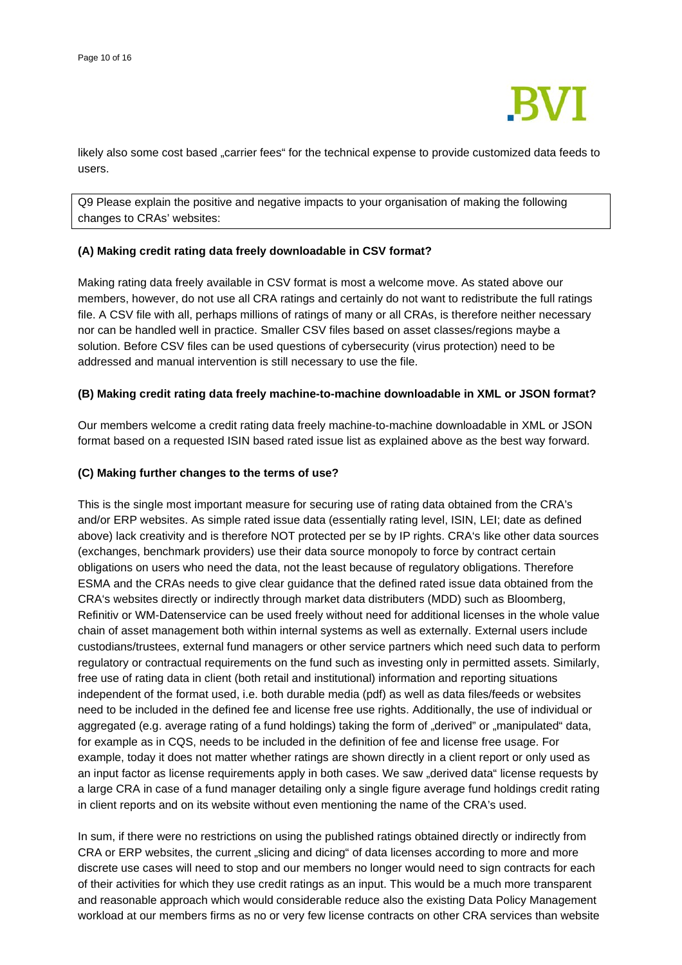

likely also some cost based "carrier fees" for the technical expense to provide customized data feeds to users.

Q9 Please explain the positive and negative impacts to your organisation of making the following changes to CRAs' websites:

### **(A) Making credit rating data freely downloadable in CSV format?**

Making rating data freely available in CSV format is most a welcome move. As stated above our members, however, do not use all CRA ratings and certainly do not want to redistribute the full ratings file. A CSV file with all, perhaps millions of ratings of many or all CRAs, is therefore neither necessary nor can be handled well in practice. Smaller CSV files based on asset classes/regions maybe a solution. Before CSV files can be used questions of cybersecurity (virus protection) need to be addressed and manual intervention is still necessary to use the file.

### **(B) Making credit rating data freely machine-to-machine downloadable in XML or JSON format?**

Our members welcome a credit rating data freely machine-to-machine downloadable in XML or JSON format based on a requested ISIN based rated issue list as explained above as the best way forward.

#### **(C) Making further changes to the terms of use?**

This is the single most important measure for securing use of rating data obtained from the CRA's and/or ERP websites. As simple rated issue data (essentially rating level, ISIN, LEI; date as defined above) lack creativity and is therefore NOT protected per se by IP rights. CRA's like other data sources (exchanges, benchmark providers) use their data source monopoly to force by contract certain obligations on users who need the data, not the least because of regulatory obligations. Therefore ESMA and the CRAs needs to give clear guidance that the defined rated issue data obtained from the CRA's websites directly or indirectly through market data distributers (MDD) such as Bloomberg, Refinitiv or WM-Datenservice can be used freely without need for additional licenses in the whole value chain of asset management both within internal systems as well as externally. External users include custodians/trustees, external fund managers or other service partners which need such data to perform regulatory or contractual requirements on the fund such as investing only in permitted assets. Similarly, free use of rating data in client (both retail and institutional) information and reporting situations independent of the format used, i.e. both durable media (pdf) as well as data files/feeds or websites need to be included in the defined fee and license free use rights. Additionally, the use of individual or aggregated (e.g. average rating of a fund holdings) taking the form of "derived" or "manipulated" data, for example as in CQS, needs to be included in the definition of fee and license free usage. For example, today it does not matter whether ratings are shown directly in a client report or only used as an input factor as license requirements apply in both cases. We saw "derived data" license requests by a large CRA in case of a fund manager detailing only a single figure average fund holdings credit rating in client reports and on its website without even mentioning the name of the CRA's used.

In sum, if there were no restrictions on using the published ratings obtained directly or indirectly from CRA or ERP websites, the current "slicing and dicing" of data licenses according to more and more discrete use cases will need to stop and our members no longer would need to sign contracts for each of their activities for which they use credit ratings as an input. This would be a much more transparent and reasonable approach which would considerable reduce also the existing Data Policy Management workload at our members firms as no or very few license contracts on other CRA services than website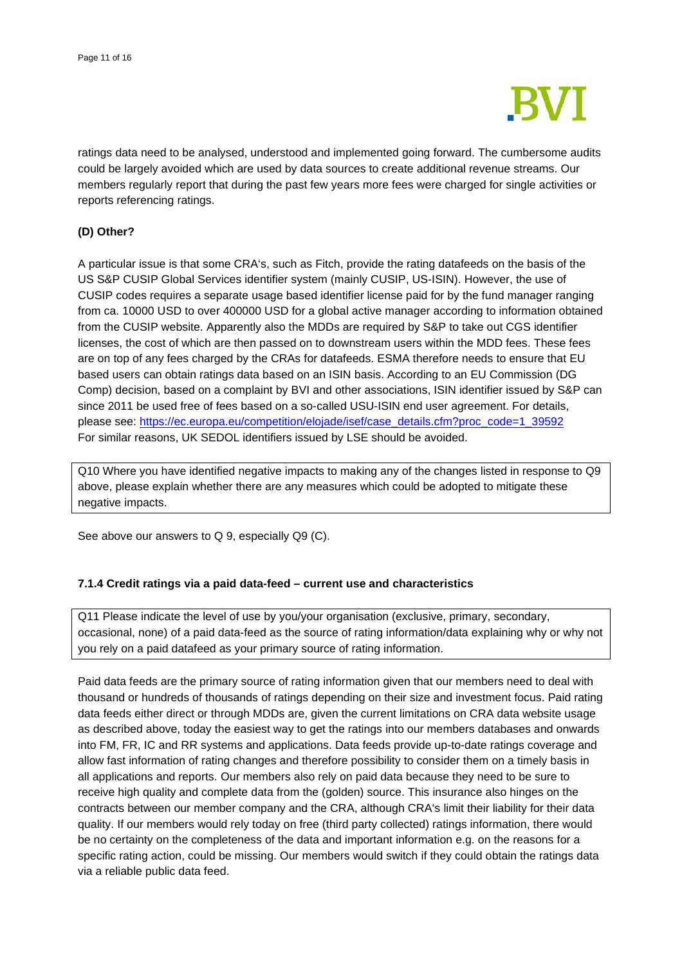

ratings data need to be analysed, understood and implemented going forward. The cumbersome audits could be largely avoided which are used by data sources to create additional revenue streams. Our members regularly report that during the past few years more fees were charged for single activities or reports referencing ratings.

## **(D) Other?**

A particular issue is that some CRA's, such as Fitch, provide the rating datafeeds on the basis of the US S&P CUSIP Global Services identifier system (mainly CUSIP, US-ISIN). However, the use of CUSIP codes requires a separate usage based identifier license paid for by the fund manager ranging from ca. 10000 USD to over 400000 USD for a global active manager according to information obtained from the CUSIP website. Apparently also the MDDs are required by S&P to take out CGS identifier licenses, the cost of which are then passed on to downstream users within the MDD fees. These fees are on top of any fees charged by the CRAs for datafeeds. ESMA therefore needs to ensure that EU based users can obtain ratings data based on an ISIN basis. According to an EU Commission (DG Comp) decision, based on a complaint by BVI and other associations, ISIN identifier issued by S&P can since 2011 be used free of fees based on a so-called USU-ISIN end user agreement. For details, please see: [https://ec.europa.eu/competition/elojade/isef/case\\_details.cfm?proc\\_code=1\\_39592](https://ec.europa.eu/competition/elojade/isef/case_details.cfm?proc_code=1_39592) For similar reasons, UK SEDOL identifiers issued by LSE should be avoided.

Q10 Where you have identified negative impacts to making any of the changes listed in response to Q9 above, please explain whether there are any measures which could be adopted to mitigate these negative impacts.

See above our answers to Q 9, especially Q9 (C).

## **7.1.4 Credit ratings via a paid data-feed – current use and characteristics**

Q11 Please indicate the level of use by you/your organisation (exclusive, primary, secondary, occasional, none) of a paid data-feed as the source of rating information/data explaining why or why not you rely on a paid datafeed as your primary source of rating information.

Paid data feeds are the primary source of rating information given that our members need to deal with thousand or hundreds of thousands of ratings depending on their size and investment focus. Paid rating data feeds either direct or through MDDs are, given the current limitations on CRA data website usage as described above, today the easiest way to get the ratings into our members databases and onwards into FM, FR, IC and RR systems and applications. Data feeds provide up-to-date ratings coverage and allow fast information of rating changes and therefore possibility to consider them on a timely basis in all applications and reports. Our members also rely on paid data because they need to be sure to receive high quality and complete data from the (golden) source. This insurance also hinges on the contracts between our member company and the CRA, although CRA's limit their liability for their data quality. If our members would rely today on free (third party collected) ratings information, there would be no certainty on the completeness of the data and important information e.g. on the reasons for a specific rating action, could be missing. Our members would switch if they could obtain the ratings data via a reliable public data feed.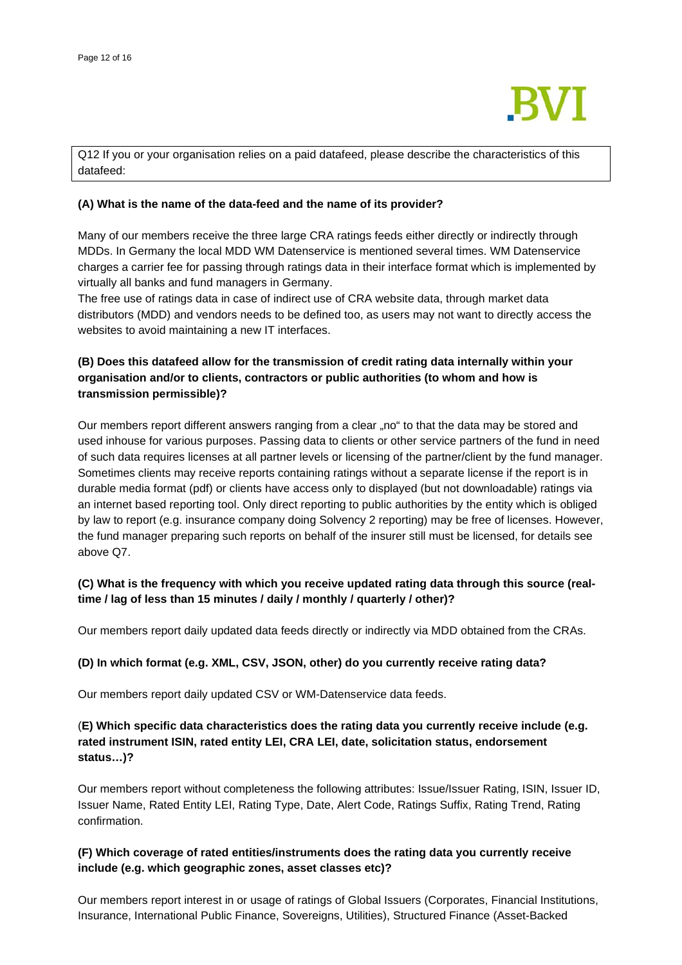

Q12 If you or your organisation relies on a paid datafeed, please describe the characteristics of this datafeed:

### **(A) What is the name of the data-feed and the name of its provider?**

Many of our members receive the three large CRA ratings feeds either directly or indirectly through MDDs. In Germany the local MDD WM Datenservice is mentioned several times. WM Datenservice charges a carrier fee for passing through ratings data in their interface format which is implemented by virtually all banks and fund managers in Germany.

The free use of ratings data in case of indirect use of CRA website data, through market data distributors (MDD) and vendors needs to be defined too, as users may not want to directly access the websites to avoid maintaining a new IT interfaces.

# **(B) Does this datafeed allow for the transmission of credit rating data internally within your organisation and/or to clients, contractors or public authorities (to whom and how is transmission permissible)?**

Our members report different answers ranging from a clear "no" to that the data may be stored and used inhouse for various purposes. Passing data to clients or other service partners of the fund in need of such data requires licenses at all partner levels or licensing of the partner/client by the fund manager. Sometimes clients may receive reports containing ratings without a separate license if the report is in durable media format (pdf) or clients have access only to displayed (but not downloadable) ratings via an internet based reporting tool. Only direct reporting to public authorities by the entity which is obliged by law to report (e.g. insurance company doing Solvency 2 reporting) may be free of licenses. However, the fund manager preparing such reports on behalf of the insurer still must be licensed, for details see above Q7.

## **(C) What is the frequency with which you receive updated rating data through this source (realtime / lag of less than 15 minutes / daily / monthly / quarterly / other)?**

Our members report daily updated data feeds directly or indirectly via MDD obtained from the CRAs.

## **(D) In which format (e.g. XML, CSV, JSON, other) do you currently receive rating data?**

Our members report daily updated CSV or WM-Datenservice data feeds.

# (**E) Which specific data characteristics does the rating data you currently receive include (e.g. rated instrument ISIN, rated entity LEI, CRA LEI, date, solicitation status, endorsement status…)?**

Our members report without completeness the following attributes: Issue/Issuer Rating, ISIN, Issuer ID, Issuer Name, Rated Entity LEI, Rating Type, Date, Alert Code, Ratings Suffix, Rating Trend, Rating confirmation.

## **(F) Which coverage of rated entities/instruments does the rating data you currently receive include (e.g. which geographic zones, asset classes etc)?**

Our members report interest in or usage of ratings of Global Issuers (Corporates, Financial Institutions, Insurance, International Public Finance, Sovereigns, Utilities), Structured Finance (Asset-Backed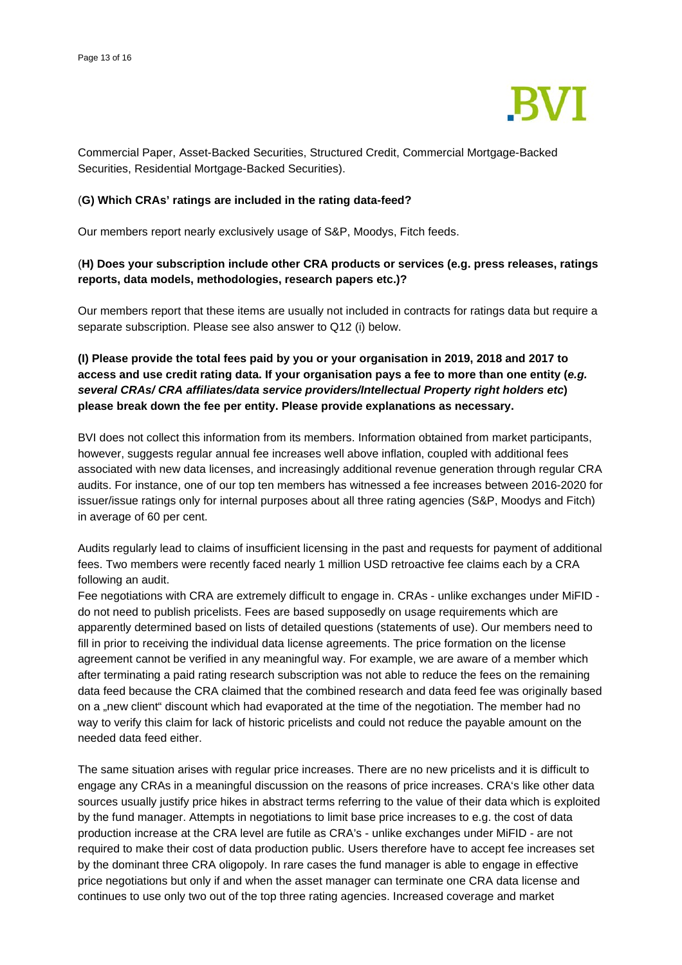

Commercial Paper, Asset-Backed Securities, Structured Credit, Commercial Mortgage-Backed Securities, Residential Mortgage-Backed Securities).

### (**G) Which CRAs' ratings are included in the rating data-feed?**

Our members report nearly exclusively usage of S&P, Moodys, Fitch feeds.

## (**H) Does your subscription include other CRA products or services (e.g. press releases, ratings reports, data models, methodologies, research papers etc.)?**

Our members report that these items are usually not included in contracts for ratings data but require a separate subscription. Please see also answer to Q12 (i) below.

**(I) Please provide the total fees paid by you or your organisation in 2019, 2018 and 2017 to access and use credit rating data. If your organisation pays a fee to more than one entity (***e.g. several CRAs/ CRA affiliates/data service providers/Intellectual Property right holders etc***) please break down the fee per entity. Please provide explanations as necessary.** 

BVI does not collect this information from its members. Information obtained from market participants, however, suggests regular annual fee increases well above inflation, coupled with additional fees associated with new data licenses, and increasingly additional revenue generation through regular CRA audits. For instance, one of our top ten members has witnessed a fee increases between 2016-2020 for issuer/issue ratings only for internal purposes about all three rating agencies (S&P, Moodys and Fitch) in average of 60 per cent.

Audits regularly lead to claims of insufficient licensing in the past and requests for payment of additional fees. Two members were recently faced nearly 1 million USD retroactive fee claims each by a CRA following an audit.

Fee negotiations with CRA are extremely difficult to engage in. CRAs - unlike exchanges under MiFID do not need to publish pricelists. Fees are based supposedly on usage requirements which are apparently determined based on lists of detailed questions (statements of use). Our members need to fill in prior to receiving the individual data license agreements. The price formation on the license agreement cannot be verified in any meaningful way. For example, we are aware of a member which after terminating a paid rating research subscription was not able to reduce the fees on the remaining data feed because the CRA claimed that the combined research and data feed fee was originally based on a "new client" discount which had evaporated at the time of the negotiation. The member had no way to verify this claim for lack of historic pricelists and could not reduce the payable amount on the needed data feed either.

The same situation arises with regular price increases. There are no new pricelists and it is difficult to engage any CRAs in a meaningful discussion on the reasons of price increases. CRA's like other data sources usually justify price hikes in abstract terms referring to the value of their data which is exploited by the fund manager. Attempts in negotiations to limit base price increases to e.g. the cost of data production increase at the CRA level are futile as CRA's - unlike exchanges under MiFID - are not required to make their cost of data production public. Users therefore have to accept fee increases set by the dominant three CRA oligopoly. In rare cases the fund manager is able to engage in effective price negotiations but only if and when the asset manager can terminate one CRA data license and continues to use only two out of the top three rating agencies. Increased coverage and market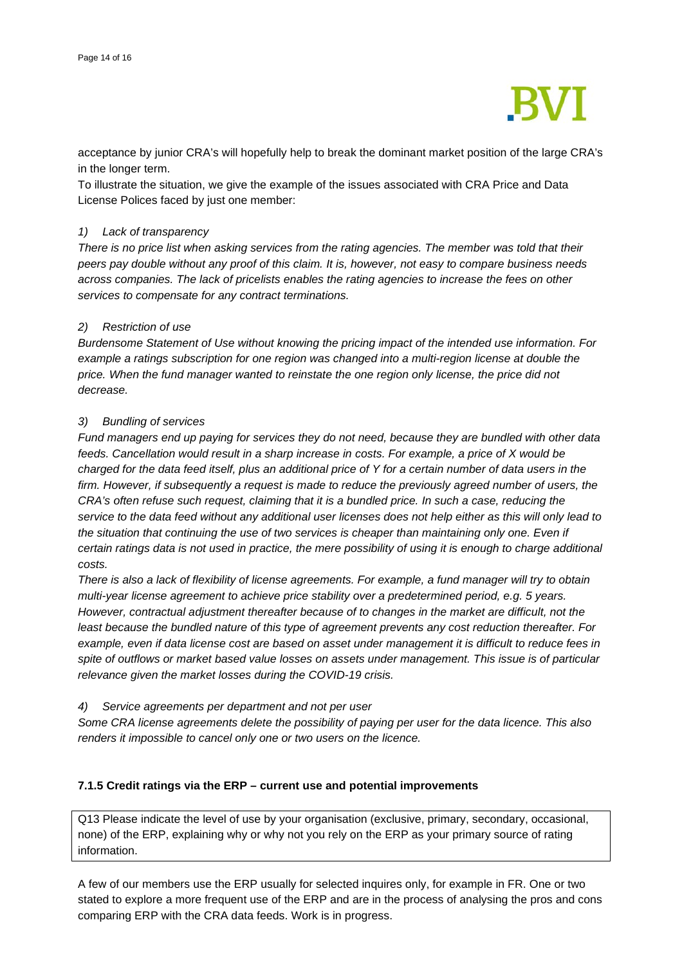

acceptance by junior CRA's will hopefully help to break the dominant market position of the large CRA's in the longer term.

To illustrate the situation, we give the example of the issues associated with CRA Price and Data License Polices faced by just one member:

#### *1) Lack of transparency*

*There is no price list when asking services from the rating agencies. The member was told that their peers pay double without any proof of this claim. It is, however, not easy to compare business needs across companies. The lack of pricelists enables the rating agencies to increase the fees on other services to compensate for any contract terminations.* 

### *2) Restriction of use*

*Burdensome Statement of Use without knowing the pricing impact of the intended use information. For example a ratings subscription for one region was changed into a multi-region license at double the price. When the fund manager wanted to reinstate the one region only license, the price did not decrease.*

### *3) Bundling of services*

*Fund managers end up paying for services they do not need, because they are bundled with other data feeds. Cancellation would result in a sharp increase in costs. For example, a price of X would be charged for the data feed itself, plus an additional price of Y for a certain number of data users in the firm. However, if subsequently a request is made to reduce the previously agreed number of users, the CRA's often refuse such request, claiming that it is a bundled price. In such a case, reducing the service to the data feed without any additional user licenses does not help either as this will only lead to*  the situation that continuing the use of two services is cheaper than maintaining only one. Even if *certain ratings data is not used in practice, the mere possibility of using it is enough to charge additional costs.* 

*There is also a lack of flexibility of license agreements. For example, a fund manager will try to obtain multi-year license agreement to achieve price stability over a predetermined period, e.g. 5 years. However, contractual adjustment thereafter because of to changes in the market are difficult, not the least because the bundled nature of this type of agreement prevents any cost reduction thereafter. For example, even if data license cost are based on asset under management it is difficult to reduce fees in spite of outflows or market based value losses on assets under management. This issue is of particular relevance given the market losses during the COVID-19 crisis.* 

#### *4) Service agreements per department and not per user*

*Some CRA license agreements delete the possibility of paying per user for the data licence. This also renders it impossible to cancel only one or two users on the licence.*

## **7.1.5 Credit ratings via the ERP – current use and potential improvements**

Q13 Please indicate the level of use by your organisation (exclusive, primary, secondary, occasional, none) of the ERP, explaining why or why not you rely on the ERP as your primary source of rating information.

A few of our members use the ERP usually for selected inquires only, for example in FR. One or two stated to explore a more frequent use of the ERP and are in the process of analysing the pros and cons comparing ERP with the CRA data feeds. Work is in progress.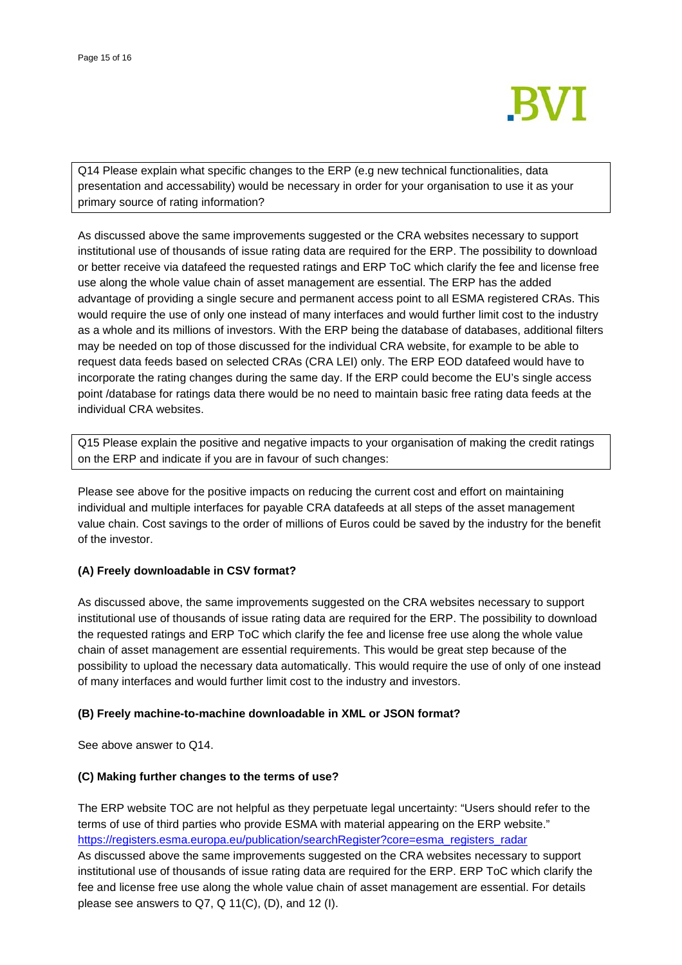

Q14 Please explain what specific changes to the ERP (e.g new technical functionalities, data presentation and accessability) would be necessary in order for your organisation to use it as your primary source of rating information?

As discussed above the same improvements suggested or the CRA websites necessary to support institutional use of thousands of issue rating data are required for the ERP. The possibility to download or better receive via datafeed the requested ratings and ERP ToC which clarify the fee and license free use along the whole value chain of asset management are essential. The ERP has the added advantage of providing a single secure and permanent access point to all ESMA registered CRAs. This would require the use of only one instead of many interfaces and would further limit cost to the industry as a whole and its millions of investors. With the ERP being the database of databases, additional filters may be needed on top of those discussed for the individual CRA website, for example to be able to request data feeds based on selected CRAs (CRA LEI) only. The ERP EOD datafeed would have to incorporate the rating changes during the same day. If the ERP could become the EU's single access point /database for ratings data there would be no need to maintain basic free rating data feeds at the individual CRA websites.

Q15 Please explain the positive and negative impacts to your organisation of making the credit ratings on the ERP and indicate if you are in favour of such changes:

Please see above for the positive impacts on reducing the current cost and effort on maintaining individual and multiple interfaces for payable CRA datafeeds at all steps of the asset management value chain. Cost savings to the order of millions of Euros could be saved by the industry for the benefit of the investor.

## **(A) Freely downloadable in CSV format?**

As discussed above, the same improvements suggested on the CRA websites necessary to support institutional use of thousands of issue rating data are required for the ERP. The possibility to download the requested ratings and ERP ToC which clarify the fee and license free use along the whole value chain of asset management are essential requirements. This would be great step because of the possibility to upload the necessary data automatically. This would require the use of only of one instead of many interfaces and would further limit cost to the industry and investors.

#### **(B) Freely machine-to-machine downloadable in XML or JSON format?**

See above answer to Q14.

#### **(C) Making further changes to the terms of use?**

The ERP website TOC are not helpful as they perpetuate legal uncertainty: "Users should refer to the terms of use of third parties who provide ESMA with material appearing on the ERP website." [https://registers.esma.europa.eu/publication/searchRegister?core=esma\\_registers\\_radar](https://registers.esma.europa.eu/publication/searchRegister?core=esma_registers_radar) As discussed above the same improvements suggested on the CRA websites necessary to support institutional use of thousands of issue rating data are required for the ERP. ERP ToC which clarify the fee and license free use along the whole value chain of asset management are essential. For details please see answers to  $Q7$ ,  $Q$  11(C), (D), and 12 (I).